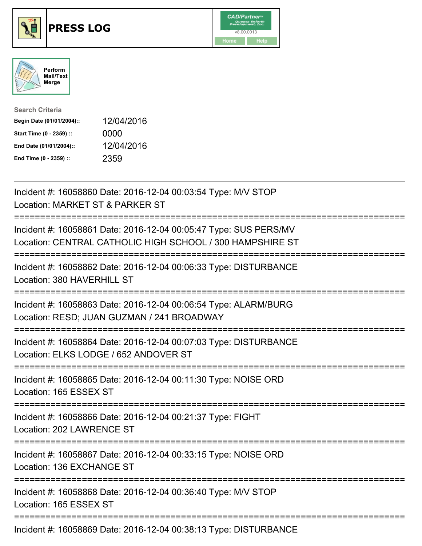





| <b>Search Criteria</b>    |            |
|---------------------------|------------|
| Begin Date (01/01/2004):: | 12/04/2016 |
| Start Time (0 - 2359) ::  | 0000       |
| End Date (01/01/2004)::   | 12/04/2016 |
| End Time (0 - 2359) ::    | 2359       |

Incident #: 16058860 Date: 2016-12-04 00:03:54 Type: M/V STOP Location: MARKET ST & PARKER ST =========================================================================== Incident #: 16058861 Date: 2016-12-04 00:05:47 Type: SUS PERS/MV Location: CENTRAL CATHOLIC HIGH SCHOOL / 300 HAMPSHIRE ST =========================================================================== Incident #: 16058862 Date: 2016-12-04 00:06:33 Type: DISTURBANCE Location: 380 HAVERHILL ST =========================================================================== Incident #: 16058863 Date: 2016-12-04 00:06:54 Type: ALARM/BURG Location: RESD; JUAN GUZMAN / 241 BROADWAY =========================================================================== Incident #: 16058864 Date: 2016-12-04 00:07:03 Type: DISTURBANCE Location: ELKS LODGE / 652 ANDOVER ST =========================================================================== Incident #: 16058865 Date: 2016-12-04 00:11:30 Type: NOISE ORD Location: 165 ESSEX ST =========================================================================== Incident #: 16058866 Date: 2016-12-04 00:21:37 Type: FIGHT Location: 202 LAWRENCE ST =========================================================================== Incident #: 16058867 Date: 2016-12-04 00:33:15 Type: NOISE ORD Location: 136 EXCHANGE ST =========================================================================== Incident #: 16058868 Date: 2016-12-04 00:36:40 Type: M/V STOP Location: 165 ESSEX ST =========================================================================== Incident #: 16058869 Date: 2016-12-04 00:38:13 Type: DISTURBANCE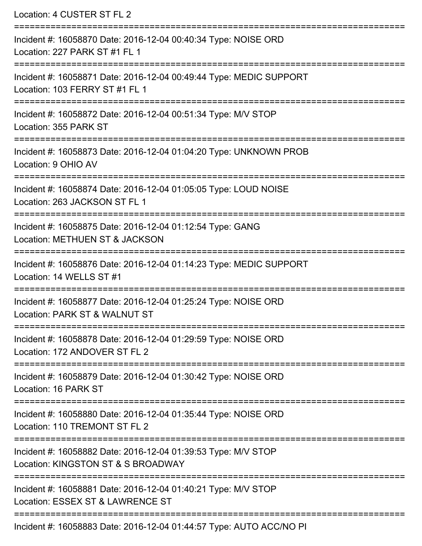| Location: 4 CUSTER ST FL 2                                                                                                                                  |
|-------------------------------------------------------------------------------------------------------------------------------------------------------------|
| Incident #: 16058870 Date: 2016-12-04 00:40:34 Type: NOISE ORD<br>Location: 227 PARK ST #1 FL 1                                                             |
| ===========================<br>Incident #: 16058871 Date: 2016-12-04 00:49:44 Type: MEDIC SUPPORT<br>Location: 103 FERRY ST #1 FL 1                         |
| Incident #: 16058872 Date: 2016-12-04 00:51:34 Type: M/V STOP<br>Location: 355 PARK ST                                                                      |
| Incident #: 16058873 Date: 2016-12-04 01:04:20 Type: UNKNOWN PROB<br>Location: 9 OHIO AV                                                                    |
| Incident #: 16058874 Date: 2016-12-04 01:05:05 Type: LOUD NOISE<br>Location: 263 JACKSON ST FL 1                                                            |
| :=====================================<br>==================<br>Incident #: 16058875 Date: 2016-12-04 01:12:54 Type: GANG<br>Location: METHUEN ST & JACKSON |
| Incident #: 16058876 Date: 2016-12-04 01:14:23 Type: MEDIC SUPPORT<br>Location: 14 WELLS ST #1                                                              |
| Incident #: 16058877 Date: 2016-12-04 01:25:24 Type: NOISE ORD<br>Location: PARK ST & WALNUT ST                                                             |
| Incident #: 16058878 Date: 2016-12-04 01:29:59 Type: NOISE ORD<br>Location: 172 ANDOVER ST FL 2                                                             |
| Incident #: 16058879 Date: 2016-12-04 01:30:42 Type: NOISE ORD<br>Location: 16 PARK ST                                                                      |
| Incident #: 16058880 Date: 2016-12-04 01:35:44 Type: NOISE ORD<br>Location: 110 TREMONT ST FL 2                                                             |
| Incident #: 16058882 Date: 2016-12-04 01:39:53 Type: M/V STOP<br>Location: KINGSTON ST & S BROADWAY                                                         |
| Incident #: 16058881 Date: 2016-12-04 01:40:21 Type: M/V STOP<br>Location: ESSEX ST & LAWRENCE ST                                                           |
| Incident #: 16058883 Date: 2016-12-04 01:44:57 Type: AUTO ACC/NO PI                                                                                         |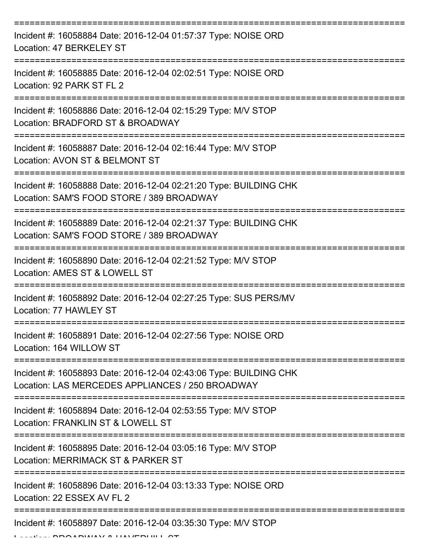| Incident #: 16058884 Date: 2016-12-04 01:57:37 Type: NOISE ORD<br>Location: 47 BERKELEY ST                            |
|-----------------------------------------------------------------------------------------------------------------------|
| Incident #: 16058885 Date: 2016-12-04 02:02:51 Type: NOISE ORD<br>Location: 92 PARK ST FL 2                           |
| Incident #: 16058886 Date: 2016-12-04 02:15:29 Type: M/V STOP<br>Location: BRADFORD ST & BROADWAY                     |
| Incident #: 16058887 Date: 2016-12-04 02:16:44 Type: M/V STOP<br>Location: AVON ST & BELMONT ST                       |
| Incident #: 16058888 Date: 2016-12-04 02:21:20 Type: BUILDING CHK<br>Location: SAM'S FOOD STORE / 389 BROADWAY        |
| Incident #: 16058889 Date: 2016-12-04 02:21:37 Type: BUILDING CHK<br>Location: SAM'S FOOD STORE / 389 BROADWAY        |
| Incident #: 16058890 Date: 2016-12-04 02:21:52 Type: M/V STOP<br>Location: AMES ST & LOWELL ST                        |
| Incident #: 16058892 Date: 2016-12-04 02:27:25 Type: SUS PERS/MV<br>Location: 77 HAWLEY ST                            |
| Incident #: 16058891 Date: 2016-12-04 02:27:56 Type: NOISE ORD<br>Location: 164 WILLOW ST                             |
| Incident #: 16058893 Date: 2016-12-04 02:43:06 Type: BUILDING CHK<br>Location: LAS MERCEDES APPLIANCES / 250 BROADWAY |
| Incident #: 16058894 Date: 2016-12-04 02:53:55 Type: M/V STOP<br>Location: FRANKLIN ST & LOWELL ST                    |
| Incident #: 16058895 Date: 2016-12-04 03:05:16 Type: M/V STOP<br>Location: MERRIMACK ST & PARKER ST                   |
| Incident #: 16058896 Date: 2016-12-04 03:13:33 Type: NOISE ORD<br>Location: 22 ESSEX AV FL 2                          |
| Incident #: 16058897 Date: 2016-12-04 03:35:30 Type: M/V STOP                                                         |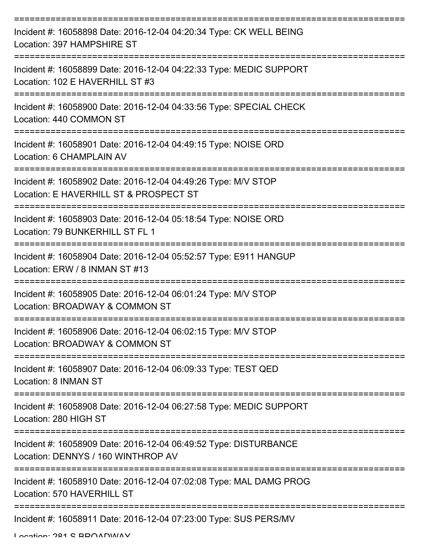| Incident #: 16058898 Date: 2016-12-04 04:20:34 Type: CK WELL BEING<br>Location: 397 HAMPSHIRE ST        |
|---------------------------------------------------------------------------------------------------------|
| Incident #: 16058899 Date: 2016-12-04 04:22:33 Type: MEDIC SUPPORT<br>Location: 102 E HAVERHILL ST #3   |
| Incident #: 16058900 Date: 2016-12-04 04:33:56 Type: SPECIAL CHECK<br>Location: 440 COMMON ST           |
| Incident #: 16058901 Date: 2016-12-04 04:49:15 Type: NOISE ORD<br>Location: 6 CHAMPLAIN AV              |
| Incident #: 16058902 Date: 2016-12-04 04:49:26 Type: M/V STOP<br>Location: E HAVERHILL ST & PROSPECT ST |
| Incident #: 16058903 Date: 2016-12-04 05:18:54 Type: NOISE ORD<br>Location: 79 BUNKERHILL ST FL 1       |
| Incident #: 16058904 Date: 2016-12-04 05:52:57 Type: E911 HANGUP<br>Location: ERW / 8 INMAN ST #13      |
| Incident #: 16058905 Date: 2016-12-04 06:01:24 Type: M/V STOP<br>Location: BROADWAY & COMMON ST         |
| Incident #: 16058906 Date: 2016-12-04 06:02:15 Type: M/V STOP<br>Location: BROADWAY & COMMON ST         |
| Incident #: 16058907 Date: 2016-12-04 06:09:33 Type: TEST QED<br>Location: 8 INMAN ST                   |
| Incident #: 16058908 Date: 2016-12-04 06:27:58 Type: MEDIC SUPPORT<br>Location: 280 HIGH ST             |
| Incident #: 16058909 Date: 2016-12-04 06:49:52 Type: DISTURBANCE<br>Location: DENNYS / 160 WINTHROP AV  |
| Incident #: 16058910 Date: 2016-12-04 07:02:08 Type: MAL DAMG PROG<br>Location: 570 HAVERHILL ST        |
| Incident #: 16058911 Date: 2016-12-04 07:23:00 Type: SUS PERS/MV                                        |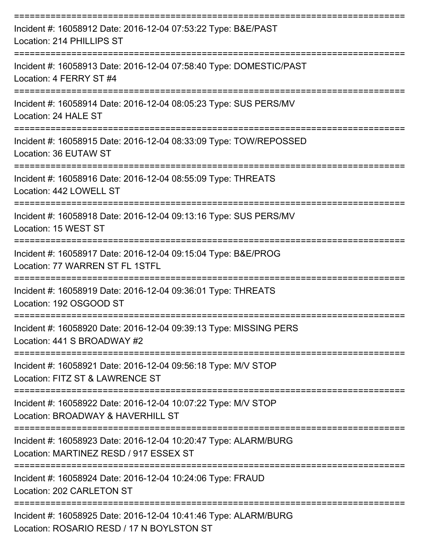| Incident #: 16058912 Date: 2016-12-04 07:53:22 Type: B&E/PAST<br>Location: 214 PHILLIPS ST                |
|-----------------------------------------------------------------------------------------------------------|
| Incident #: 16058913 Date: 2016-12-04 07:58:40 Type: DOMESTIC/PAST<br>Location: 4 FERRY ST #4             |
| Incident #: 16058914 Date: 2016-12-04 08:05:23 Type: SUS PERS/MV<br>Location: 24 HALE ST                  |
| Incident #: 16058915 Date: 2016-12-04 08:33:09 Type: TOW/REPOSSED<br>Location: 36 EUTAW ST                |
| Incident #: 16058916 Date: 2016-12-04 08:55:09 Type: THREATS<br>Location: 442 LOWELL ST                   |
| Incident #: 16058918 Date: 2016-12-04 09:13:16 Type: SUS PERS/MV<br>Location: 15 WEST ST                  |
| Incident #: 16058917 Date: 2016-12-04 09:15:04 Type: B&E/PROG<br>Location: 77 WARREN ST FL 1STFL          |
| Incident #: 16058919 Date: 2016-12-04 09:36:01 Type: THREATS<br>Location: 192 OSGOOD ST                   |
| Incident #: 16058920 Date: 2016-12-04 09:39:13 Type: MISSING PERS<br>Location: 441 S BROADWAY #2          |
| Incident #: 16058921 Date: 2016-12-04 09:56:18 Type: M/V STOP<br>Location: FITZ ST & LAWRENCE ST          |
| Incident #: 16058922 Date: 2016-12-04 10:07:22 Type: M/V STOP<br>Location: BROADWAY & HAVERHILL ST        |
| Incident #: 16058923 Date: 2016-12-04 10:20:47 Type: ALARM/BURG<br>Location: MARTINEZ RESD / 917 ESSEX ST |
| Incident #: 16058924 Date: 2016-12-04 10:24:06 Type: FRAUD<br>Location: 202 CARLETON ST                   |
| Incident #: 16058925 Date: 2016-12-04 10:41:46 Type: ALARM/BURG<br>D A B B B A B A B B A B A B B A B B    |

Location: ROSARIO RESD / 17 N BOYLSTON ST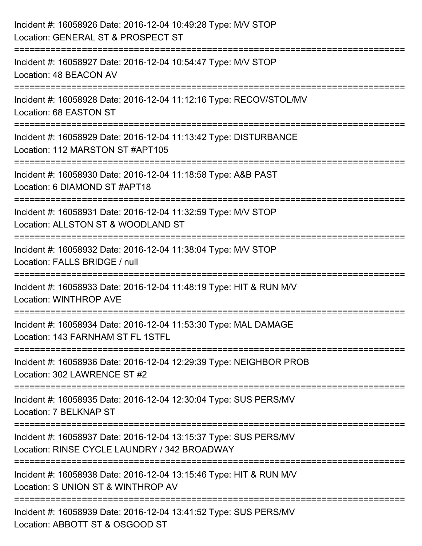| Incident #: 16058926 Date: 2016-12-04 10:49:28 Type: M/V STOP<br>Location: GENERAL ST & PROSPECT ST                           |
|-------------------------------------------------------------------------------------------------------------------------------|
| Incident #: 16058927 Date: 2016-12-04 10:54:47 Type: M/V STOP<br>Location: 48 BEACON AV                                       |
| Incident #: 16058928 Date: 2016-12-04 11:12:16 Type: RECOV/STOL/MV<br>Location: 68 EASTON ST                                  |
| Incident #: 16058929 Date: 2016-12-04 11:13:42 Type: DISTURBANCE<br>Location: 112 MARSTON ST #APT105<br>--------------------- |
| Incident #: 16058930 Date: 2016-12-04 11:18:58 Type: A&B PAST<br>Location: 6 DIAMOND ST #APT18                                |
| Incident #: 16058931 Date: 2016-12-04 11:32:59 Type: M/V STOP<br>Location: ALLSTON ST & WOODLAND ST                           |
| Incident #: 16058932 Date: 2016-12-04 11:38:04 Type: M/V STOP<br>Location: FALLS BRIDGE / null                                |
| Incident #: 16058933 Date: 2016-12-04 11:48:19 Type: HIT & RUN M/V<br>Location: WINTHROP AVE                                  |
| Incident #: 16058934 Date: 2016-12-04 11:53:30 Type: MAL DAMAGE<br>Location: 143 FARNHAM ST FL 1STFL                          |
| Incident #: 16058936 Date: 2016-12-04 12:29:39 Type: NEIGHBOR PROB<br>Location: 302 LAWRENCE ST #2                            |
| Incident #: 16058935 Date: 2016-12-04 12:30:04 Type: SUS PERS/MV<br>Location: 7 BELKNAP ST                                    |
| Incident #: 16058937 Date: 2016-12-04 13:15:37 Type: SUS PERS/MV<br>Location: RINSE CYCLE LAUNDRY / 342 BROADWAY              |
| Incident #: 16058938 Date: 2016-12-04 13:15:46 Type: HIT & RUN M/V<br>Location: S UNION ST & WINTHROP AV                      |
| Incident #: 16058939 Date: 2016-12-04 13:41:52 Type: SUS PERS/MV<br>Location: ABBOTT ST & OSGOOD ST                           |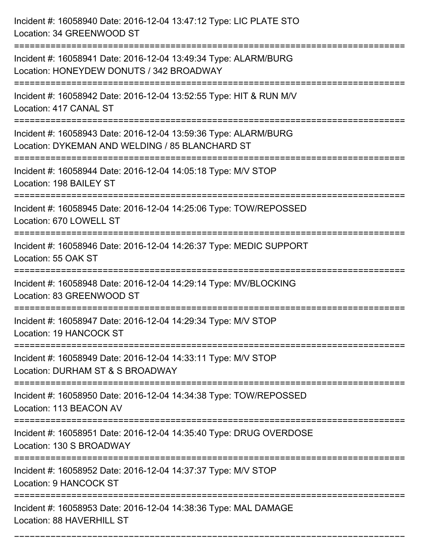| Incident #: 16058940 Date: 2016-12-04 13:47:12 Type: LIC PLATE STO<br>Location: 34 GREENWOOD ST                        |
|------------------------------------------------------------------------------------------------------------------------|
| Incident #: 16058941 Date: 2016-12-04 13:49:34 Type: ALARM/BURG<br>Location: HONEYDEW DONUTS / 342 BROADWAY            |
| Incident #: 16058942 Date: 2016-12-04 13:52:55 Type: HIT & RUN M/V<br>Location: 417 CANAL ST<br>:===================== |
| Incident #: 16058943 Date: 2016-12-04 13:59:36 Type: ALARM/BURG<br>Location: DYKEMAN AND WELDING / 85 BLANCHARD ST     |
| Incident #: 16058944 Date: 2016-12-04 14:05:18 Type: M/V STOP<br>Location: 198 BAILEY ST                               |
| Incident #: 16058945 Date: 2016-12-04 14:25:06 Type: TOW/REPOSSED<br>Location: 670 LOWELL ST                           |
| Incident #: 16058946 Date: 2016-12-04 14:26:37 Type: MEDIC SUPPORT<br>Location: 55 OAK ST                              |
| Incident #: 16058948 Date: 2016-12-04 14:29:14 Type: MV/BLOCKING<br>Location: 83 GREENWOOD ST                          |
| Incident #: 16058947 Date: 2016-12-04 14:29:34 Type: M/V STOP<br>Location: 19 HANCOCK ST                               |
| Incident #: 16058949 Date: 2016-12-04 14:33:11 Type: M/V STOP<br>Location: DURHAM ST & S BROADWAY                      |
| Incident #: 16058950 Date: 2016-12-04 14:34:38 Type: TOW/REPOSSED<br>Location: 113 BEACON AV                           |
| Incident #: 16058951 Date: 2016-12-04 14:35:40 Type: DRUG OVERDOSE<br>Location: 130 S BROADWAY                         |
| Incident #: 16058952 Date: 2016-12-04 14:37:37 Type: M/V STOP<br>Location: 9 HANCOCK ST                                |
| Incident #: 16058953 Date: 2016-12-04 14:38:36 Type: MAL DAMAGE<br>Location: 88 HAVERHILL ST                           |

===========================================================================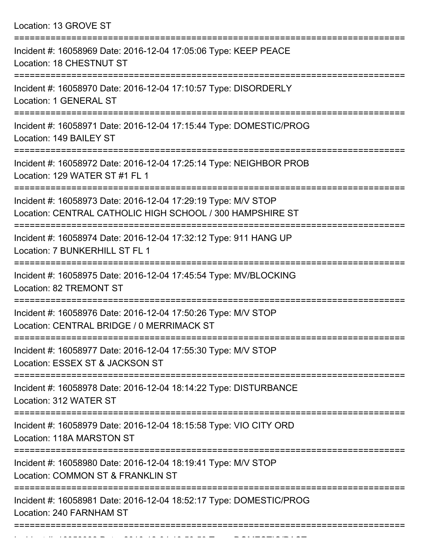| Location: 13 GROVE ST |  |  |  |
|-----------------------|--|--|--|
|-----------------------|--|--|--|

| Incident #: 16058969 Date: 2016-12-04 17:05:06 Type: KEEP PEACE<br>Location: 18 CHESTNUT ST                                |
|----------------------------------------------------------------------------------------------------------------------------|
| Incident #: 16058970 Date: 2016-12-04 17:10:57 Type: DISORDERLY<br>Location: 1 GENERAL ST                                  |
| Incident #: 16058971 Date: 2016-12-04 17:15:44 Type: DOMESTIC/PROG<br>Location: 149 BAILEY ST                              |
| Incident #: 16058972 Date: 2016-12-04 17:25:14 Type: NEIGHBOR PROB<br>Location: 129 WATER ST #1 FL 1                       |
| Incident #: 16058973 Date: 2016-12-04 17:29:19 Type: M/V STOP<br>Location: CENTRAL CATHOLIC HIGH SCHOOL / 300 HAMPSHIRE ST |
| Incident #: 16058974 Date: 2016-12-04 17:32:12 Type: 911 HANG UP<br>Location: 7 BUNKERHILL ST FL 1                         |
| Incident #: 16058975 Date: 2016-12-04 17:45:54 Type: MV/BLOCKING<br>Location: 82 TREMONT ST                                |
| Incident #: 16058976 Date: 2016-12-04 17:50:26 Type: M/V STOP<br>Location: CENTRAL BRIDGE / 0 MERRIMACK ST                 |
| Incident #: 16058977 Date: 2016-12-04 17:55:30 Type: M/V STOP<br>Location: ESSEX ST & JACKSON ST                           |
| Incident #: 16058978 Date: 2016-12-04 18:14:22 Type: DISTURBANCE<br>Location: 312 WATER ST                                 |
| Incident #: 16058979 Date: 2016-12-04 18:15:58 Type: VIO CITY ORD<br>Location: 118A MARSTON ST                             |
| Incident #: 16058980 Date: 2016-12-04 18:19:41 Type: M/V STOP<br>Location: COMMON ST & FRANKLIN ST                         |
| Incident #: 16058981 Date: 2016-12-04 18:52:17 Type: DOMESTIC/PROG<br>Location: 240 FARNHAM ST                             |
|                                                                                                                            |

Incident #: 16058982 Date: 2016 12 04 18:58:59 Type: DOMESTIC/PAST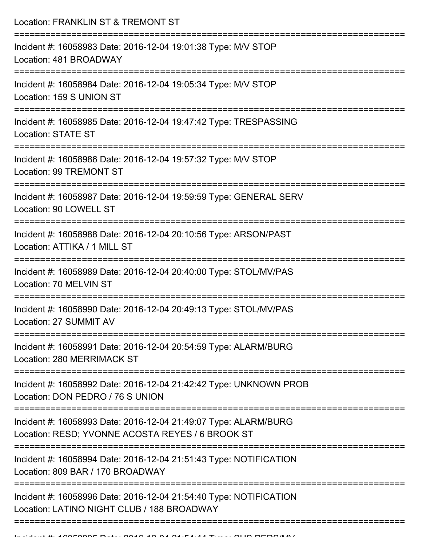Location: FRANKLIN ST & TREMONT ST

| Incident #: 16058983 Date: 2016-12-04 19:01:38 Type: M/V STOP<br>Location: 481 BROADWAY                             |
|---------------------------------------------------------------------------------------------------------------------|
| Incident #: 16058984 Date: 2016-12-04 19:05:34 Type: M/V STOP<br>Location: 159 S UNION ST                           |
| Incident #: 16058985 Date: 2016-12-04 19:47:42 Type: TRESPASSING<br><b>Location: STATE ST</b>                       |
| Incident #: 16058986 Date: 2016-12-04 19:57:32 Type: M/V STOP<br>Location: 99 TREMONT ST<br>----------------        |
| Incident #: 16058987 Date: 2016-12-04 19:59:59 Type: GENERAL SERV<br>Location: 90 LOWELL ST                         |
| Incident #: 16058988 Date: 2016-12-04 20:10:56 Type: ARSON/PAST<br>Location: ATTIKA / 1 MILL ST                     |
| Incident #: 16058989 Date: 2016-12-04 20:40:00 Type: STOL/MV/PAS<br>Location: 70 MELVIN ST                          |
| Incident #: 16058990 Date: 2016-12-04 20:49:13 Type: STOL/MV/PAS<br>Location: 27 SUMMIT AV                          |
| Incident #: 16058991 Date: 2016-12-04 20:54:59 Type: ALARM/BURG<br>Location: 280 MERRIMACK ST                       |
| Incident #: 16058992 Date: 2016-12-04 21:42:42 Type: UNKNOWN PROB<br>Location: DON PEDRO / 76 S UNION               |
| Incident #: 16058993 Date: 2016-12-04 21:49:07 Type: ALARM/BURG<br>Location: RESD; YVONNE ACOSTA REYES / 6 BROOK ST |
| Incident #: 16058994 Date: 2016-12-04 21:51:43 Type: NOTIFICATION<br>Location: 809 BAR / 170 BROADWAY               |
| Incident #: 16058996 Date: 2016-12-04 21:54:40 Type: NOTIFICATION<br>Location: LATINO NIGHT CLUB / 188 BROADWAY     |
|                                                                                                                     |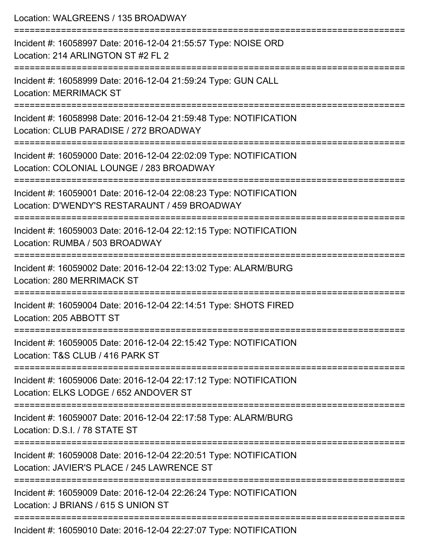| Location: WALGREENS / 135 BROADWAY                                                                                                                    |
|-------------------------------------------------------------------------------------------------------------------------------------------------------|
| Incident #: 16058997 Date: 2016-12-04 21:55:57 Type: NOISE ORD<br>Location: 214 ARLINGTON ST #2 FL 2                                                  |
| Incident #: 16058999 Date: 2016-12-04 21:59:24 Type: GUN CALL<br><b>Location: MERRIMACK ST</b>                                                        |
| Incident #: 16058998 Date: 2016-12-04 21:59:48 Type: NOTIFICATION<br>Location: CLUB PARADISE / 272 BROADWAY                                           |
| :===================================<br>Incident #: 16059000 Date: 2016-12-04 22:02:09 Type: NOTIFICATION<br>Location: COLONIAL LOUNGE / 283 BROADWAY |
| Incident #: 16059001 Date: 2016-12-04 22:08:23 Type: NOTIFICATION<br>Location: D'WENDY'S RESTARAUNT / 459 BROADWAY                                    |
| Incident #: 16059003 Date: 2016-12-04 22:12:15 Type: NOTIFICATION<br>Location: RUMBA / 503 BROADWAY                                                   |
| Incident #: 16059002 Date: 2016-12-04 22:13:02 Type: ALARM/BURG<br>Location: 280 MERRIMACK ST                                                         |
| Incident #: 16059004 Date: 2016-12-04 22:14:51 Type: SHOTS FIRED<br>Location: 205 ABBOTT ST                                                           |
| ============================<br>Incident #: 16059005 Date: 2016-12-04 22:15:42 Type: NOTIFICATION<br>Location: T&S CLUB / 416 PARK ST                 |
| Incident #: 16059006 Date: 2016-12-04 22:17:12 Type: NOTIFICATION<br>Location: ELKS LODGE / 652 ANDOVER ST                                            |
| Incident #: 16059007 Date: 2016-12-04 22:17:58 Type: ALARM/BURG<br>Location: D.S.I. / 78 STATE ST                                                     |
| ================<br>Incident #: 16059008 Date: 2016-12-04 22:20:51 Type: NOTIFICATION<br>Location: JAVIER'S PLACE / 245 LAWRENCE ST                   |
| Incident #: 16059009 Date: 2016-12-04 22:26:24 Type: NOTIFICATION<br>Location: J BRIANS / 615 S UNION ST                                              |
| $\frac{1}{2}$                                                                                                                                         |

Incident #: 16059010 Date: 2016-12-04 22:27:07 Type: NOTIFICATION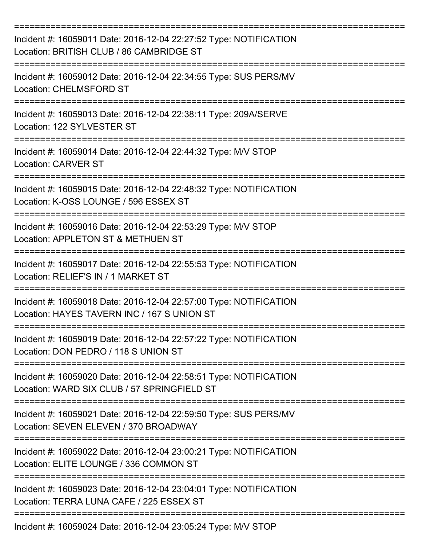| Incident #: 16059011 Date: 2016-12-04 22:27:52 Type: NOTIFICATION<br>Location: BRITISH CLUB / 86 CAMBRIDGE ST    |
|------------------------------------------------------------------------------------------------------------------|
| Incident #: 16059012 Date: 2016-12-04 22:34:55 Type: SUS PERS/MV<br><b>Location: CHELMSFORD ST</b>               |
| Incident #: 16059013 Date: 2016-12-04 22:38:11 Type: 209A/SERVE<br>Location: 122 SYLVESTER ST                    |
| Incident #: 16059014 Date: 2016-12-04 22:44:32 Type: M/V STOP<br><b>Location: CARVER ST</b>                      |
| Incident #: 16059015 Date: 2016-12-04 22:48:32 Type: NOTIFICATION<br>Location: K-OSS LOUNGE / 596 ESSEX ST       |
| Incident #: 16059016 Date: 2016-12-04 22:53:29 Type: M/V STOP<br>Location: APPLETON ST & METHUEN ST              |
| Incident #: 16059017 Date: 2016-12-04 22:55:53 Type: NOTIFICATION<br>Location: RELIEF'S IN / 1 MARKET ST         |
| Incident #: 16059018 Date: 2016-12-04 22:57:00 Type: NOTIFICATION<br>Location: HAYES TAVERN INC / 167 S UNION ST |
| Incident #: 16059019 Date: 2016-12-04 22:57:22 Type: NOTIFICATION<br>Location: DON PEDRO / 118 S UNION ST        |
| Incident #: 16059020 Date: 2016-12-04 22:58:51 Type: NOTIFICATION<br>Location: WARD SIX CLUB / 57 SPRINGFIELD ST |
| Incident #: 16059021 Date: 2016-12-04 22:59:50 Type: SUS PERS/MV<br>Location: SEVEN ELEVEN / 370 BROADWAY        |
| Incident #: 16059022 Date: 2016-12-04 23:00:21 Type: NOTIFICATION<br>Location: ELITE LOUNGE / 336 COMMON ST      |
| Incident #: 16059023 Date: 2016-12-04 23:04:01 Type: NOTIFICATION<br>Location: TERRA LUNA CAFE / 225 ESSEX ST    |
| Incident #: 16059024 Date: 2016-12-04 23:05:24 Type: M/V STOP                                                    |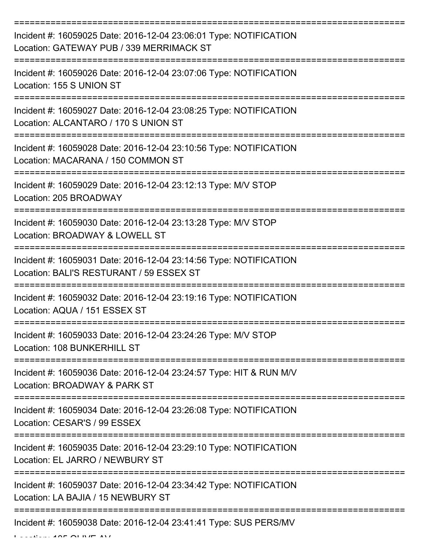| Incident #: 16059025 Date: 2016-12-04 23:06:01 Type: NOTIFICATION<br>Location: GATEWAY PUB / 339 MERRIMACK ST                   |
|---------------------------------------------------------------------------------------------------------------------------------|
| Incident #: 16059026 Date: 2016-12-04 23:07:06 Type: NOTIFICATION<br>Location: 155 S UNION ST                                   |
| Incident #: 16059027 Date: 2016-12-04 23:08:25 Type: NOTIFICATION<br>Location: ALCANTARO / 170 S UNION ST                       |
| Incident #: 16059028 Date: 2016-12-04 23:10:56 Type: NOTIFICATION<br>Location: MACARANA / 150 COMMON ST                         |
| Incident #: 16059029 Date: 2016-12-04 23:12:13 Type: M/V STOP<br>Location: 205 BROADWAY                                         |
| ----------------------------<br>Incident #: 16059030 Date: 2016-12-04 23:13:28 Type: M/V STOP<br>Location: BROADWAY & LOWELL ST |
| Incident #: 16059031 Date: 2016-12-04 23:14:56 Type: NOTIFICATION<br>Location: BALI'S RESTURANT / 59 ESSEX ST                   |
| Incident #: 16059032 Date: 2016-12-04 23:19:16 Type: NOTIFICATION<br>Location: AQUA / 151 ESSEX ST                              |
| Incident #: 16059033 Date: 2016-12-04 23:24:26 Type: M/V STOP<br>Location: 108 BUNKERHILL ST                                    |
| Incident #: 16059036 Date: 2016-12-04 23:24:57 Type: HIT & RUN M/V<br>Location: BROADWAY & PARK ST                              |
| Incident #: 16059034 Date: 2016-12-04 23:26:08 Type: NOTIFICATION<br>Location: CESAR'S / 99 ESSEX                               |
| Incident #: 16059035 Date: 2016-12-04 23:29:10 Type: NOTIFICATION<br>Location: EL JARRO / NEWBURY ST                            |
| Incident #: 16059037 Date: 2016-12-04 23:34:42 Type: NOTIFICATION<br>Location: LA BAJIA / 15 NEWBURY ST                         |
| Incident #: 16059038 Date: 2016-12-04 23:41:41 Type: SUS PERS/MV                                                                |